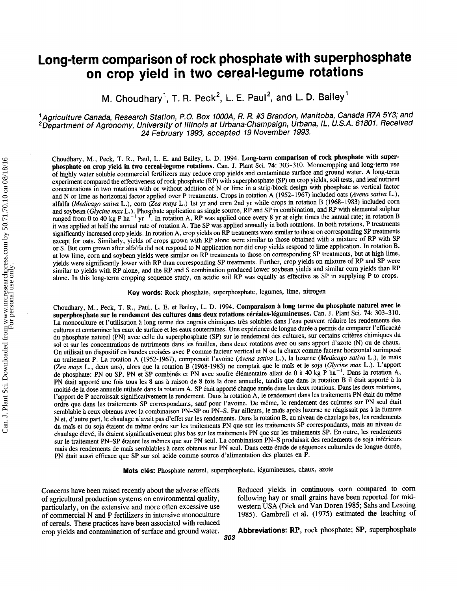# Long-term comparison of rock phosphate with superphosphate on crop yield in two cereal-legume rotations

M. Choudhary<sup>1</sup>, T. R. Peck<sup>2</sup>, L. E. Paul<sup>2</sup>, and L. D. Bailey<sup>1</sup>

<sup>1</sup> Agriculture Canada, Research Station, P.O. Box 1000A, R. R. #3 Brandon, Manitoba, Canada R7A 5Y3; and <sup>2</sup>Department of Agronomy, University of Illinois at Urbana-Champaign, Urbana, IL, U.S.A. 61801. Received 24 February 1993, accepted 19 November 1993'

Choudhary, M., Peck, T. R., Paul, L. E. and Bailey, L. D. 1994. Long-term comparison of rock phosphate with superphosphate on crop yield in two cereal-legume rotations. Can. J. Plant Sci. 74: 303-310. Monocropping and long-term use of highly water soluble commercial fertilizers may reduce crop yields and contaminate surface and ground water. A long-term experiment compared the effectiveness of rock phosphate (RP) with superphosphate (SP) on crop yields, soil tests, and leaf nutrient co^ncentrations ih two rotations with or without addition of N or lime in a strip-block design with phosphate as vertical factor and N or lime as horizontal factor applied over P treatments. Crops in rotation A (1952-1967) included oats (Avena sativa L.), alfalfa (*Medicago sativa* L.), corn ( $\overline{Z}ea$  mays L.) 1st yr and corn 2nd yr while crops in rotation B (1968–1983) included corn and sovhean (*Glycine may L.*). Phosphate application as single source. RP and SP in comb and soybean (Glycine max L.). Phosphate application as single source, RP and SP in combination, and RP with elemental sulphur ranged from 0 to 40 kg P ha<sup>-1</sup> yr<sup>-1</sup>. In rotation A, RP was applied once every 8 yr at eight times the annual rate; in rotation B it was applied at half the annual rate of rotation A. The SP was applied annually in both rotations. In both rotations, P treatments significantly increased crop yields. In rotation A, crop yields on RP treatments were similar to those on corresponding SP treatments except for oats. Similarly, yields of crops grown with RP alone were similar to those obtained with a mixture of RP with SP or S. But corn grown after alfalfa did not respond to N application nor did crop yields respond to lime application. In rotation B, at low lime, corn and soybean yields were similar on RP treatments to those on corresponding SP treatments, but at high lime, yields were significantly lower with RP than corresponding SP treatments. Further, crop yields on mixture of RP and SP were similar to yields with RP alone, and the RP and S combination produced lower soybean yields and similar corn yields than RP alone. In this long-term cropping sequence study, on acidic soil RP was equally as effective as SP in supplying P to crops.

Key words: Rock phosphate, superphosphate, legumes, lime, nitrogen

Choudhary, M., Peck, T. R., Paul, L. E. et Bailey, L. D. 1994. Comparaison à long terme du phosphate naturel avec le superphosphate sur le rendement des cultures dans deux rotations céréales-légumineuses. Can. J. Plant Sci. 74: 303-310. La monoculture et l'utilisation à long terme des engrais chimiques très solubles dans l'eau peuvent réduire les rendements des cultures et contaminer les eaux de surface et les eaux souterraines. Une expérience de longue durée a permis de comparer l'efficacité du phosphate naturel (PN) avec celle du superphosphate (SP) sur le rendement des cultures, sur certains critères chimiques du sol et sur les concentrations de nutriments dans les feuilles, dans deux rotations avec ou sans apport d'azote (N) ou de chaux. On utilisait un dispositif en bandes croisées avec P comme facteur vertical et N ou la chaux comme facteur horizontal surimposé au traitement P. La rotation A (1952-1967), comprenait l'avoine (Avena sativa L.), la luzerne (Medicago sativa L.), le maïs (Zea mays L., deux ans), alors que la rotation B (1968-1983) ne comptait que le maïs et le soja (Glycine max L.). L'apport de phosphate: PN ou SP, PN et SP combinés et PN avec soufre élémentaire allait de 0 à 40 kg P ha<sup>-1</sup>. Dans la rotation A, PN était apporté une fois tous les 8 ans à raison de 8 fois la dose annuelle, tandis que dans la rotation B il était apporté à la moitié de la dose annuelle utilisée dans la rotation A. SP était apporté chaque année dans les deux rotations. Dans les deux rotations, l'apport de P accroissait significativement le rendement. Dans la rotation A, le rendement dans les traitements PN était du même ordre que dans les traitements SP correspondants, sauf pour l'avoine. De même, le rendement des cultures sur PN seul était semblable à ceux obtenus avec la combinaison PN-SP ou PN-S. Par ailleurs, le maïs après luzerne ne réagissait pas à la fumure N et, d'autre part, le chaulage n'avait pas d'effet sur les rendements. Dans la rotation B, au niveau de chaulage bas, les rendements du maïs et du soja étaient du même ordre sur les traitements PN que sur les traitements SP correspondants, mais au niveau de chaulage 6lev6, iis 6taient significativement plus bas sur les traitements PN que sur les traitements SP. En outre, les rendements sur le traitement PN-SP étaient les mêmes que sur PN seul. La combinaison PN-S produisait des rendements de soja inférieurs mais des rendements de maïs semblables à ceux obtenus sur PN seul. Dans cette étude de séquences culturales de longue durée, PN 6tait aussi efficace que SP sur sol acide comme source d'alimentation des plantes en P.

Mots clés: Phosphate naturel, superphosphate, légumineuses, chaux, azote

Concerns have been raised recently about the adverse effects of agricultural production systems on environmental quality, particularly, on the extensive and more often excessive use of commercial N and P fertilizers in intensive monoculture of cereals. These practices have been associated with reduced crop yields and contamination of surface and ground water. Reduced yields in continuous corn compared to corn following hay or small grains have been reported for midwestern USA (Dick and Van Doren 1985; Sahs and Lesoing 1985). Gambrell et al. (1975) estimated the leaching of

Abbreviations: RP, rock phosphate; SP, superphosphate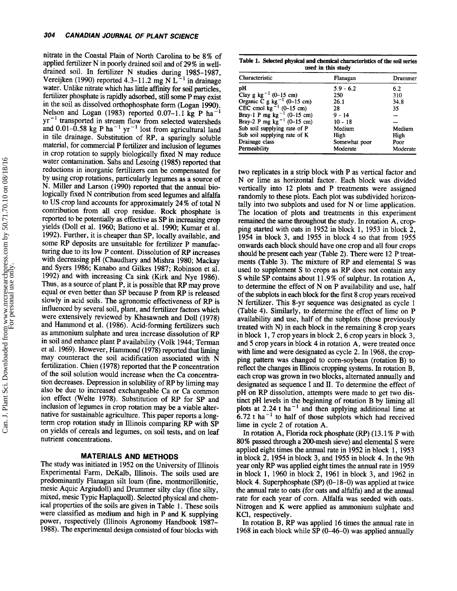nitrate in the Coastal Plain of North Carolina to be 8% of applied fertilizer N in poorly drained soil and of 29% in welldrained soil. In fertilizer N studies during 1985-1987, Vereijken (1990) reported 4.3-11.2 mg N L<sup>-1</sup> in drainage water. Unlike nitrate which has little affinity for soil particles, fertilizer phosphate is rapidly adsorbed, still some p may exist in the soil as dissolved orthophosphate form (Logan 1990).<br>Nelson and Logan (1983) reported  $0.07-1.1$  kg P ha<sup>-1</sup>  $yr^{-1}$  transported in stream flow from selected watersheds and 0.01-0.58 kg P ha<sup>-1</sup> yr<sup>-1</sup> lost from agricultural land in tile drainage. Substitution of RP, a sparingly soluble material, for commercial P fertilizer and inclusion of legumes in crop rotation to supply biologically fixed N may reduce water contamination. Sahs and Lesoing (1985) reported that reductions in inorganic fertilizers can be compensated for by using crop rotations, particularly legumes as a source of N. Miller and Larson (1990) reported that the annual biologically fixed N contribution from seed legumes and alfalfa to US crop land accounts for approximately 24% of total N contribution from all crop residue. Rock phosphate is reported to be potentially as effective as SP in increasing crop yields (Doll et al. 1960; Bationo et al. 1990; Kumar et al. 1992). Further, it is cheaper than SP, locally available, and some RP deposits are unsuitable for fertilizer P manufacturing due to its low P content. Dissolution of RP increases with decreasing pH (Chaudhary and Mishra 1980; Mackay and Syers 1986; Kanabo and Gilkes 1987; Robinson et al. 1992) and with increasing Ca sink (Kirk and Nye 1986). Thus, as a source of plant P, it is possible that RP may prove equal or even better than SP because P from Rp is released slowly in acid soils. The agronomic effectiveness of RP is influenced by several soil, plant, and fertilizer factors which were extensively reviewed by Khasawneh and Doll (1928) and Hammond et al. (1986). Acid-forming fertilizers such as ammonium sulphate and urea increase dissolution of Rp in soil and enhance plant P availability (Volk 1944; Terman et al. 1969). However, Hammond (1978) reported that liming may counteract the soil acidification associated with N fertilization. Chien (1978) reported that the P concentration of the soil solution would increase when the Ca concentration decreases. Depression in solubility of RP by liming may also be due to increased exchangeable Ca or Ca common ion effect (Welte 1978). Substitution of RP for SP and inclusion of legumes in crop rotation may be a viable alternative for sustainable agriculture. This paper reports a longterm crop rotation study in Illinois comparing RP with SP on yields of cereals and legumes, on soil tests, and on leaf nutrient concentrations.

## MATERIALS AND METHODS

The study was initiated in 1952 on the University of Illinois Experimental Farm, DeKalb, Illinois. The soils used are predominantly Flanagan silt loam (fine, montmorillonitic, mesic Aquic Argiudoll) and Drummer silty clay (fine silty, mixed, mesic Typic Haplaquoll). Selected physical and chemical properties of the soils are given in Table 1. These soils were classified as medium and high in  $P$  and  $K$  supplying power, respectively (Illinois Agronomy Handbook 1987- 1988). The experimental design consisted of four blocks with

Table 1. Selected physical and chemical characteristics of the soil series used in this study

| Characteristic                                                                          | Flanagan      | Drummer  |
|-----------------------------------------------------------------------------------------|---------------|----------|
| pН                                                                                      | $5.9 - 6.2$   | 6.2      |
| Clay g kg <sup>-1</sup> (0-15 cm)                                                       | 250           | 310      |
|                                                                                         | 26.1          | 34.8     |
| Organic $\tilde{C}$ g kg <sup>-1</sup> (0-15 cm)<br>CEC cmol kg <sup>-1</sup> (0-15 cm) | 28            | 35       |
| Bray-1 P mg kg <sup>-1</sup> (0-15 cm)                                                  | 9 - 14        |          |
| Bray-2 P mg $\overline{kg}^{-1}$ (0-15 cm)                                              | $10 - 18$     |          |
| Sub soil supplying rate of P                                                            | Medium        | Medium   |
| Sub soil supplying rate of K                                                            | High          | High     |
| Drainage class                                                                          | Somewhat poor | Poor     |
| Permeability                                                                            | Moderate      | Moderate |

two replicates in a strip block with P as vertical factor and N or lime as horizontal factor. Each block was divided vertically into 12 plots and P treafinents were assigned randomly to these plots. Each plot was subdivided horizontally into two subplots and used for N or lime application. The location of plots and treatments in this experiment remained the same throughout the study. In rotation A, cropping started with oats in 1952 in block 1, 1953 in block  $2$ , 1954 in block 3, and 1955 in block 4 so that from 1955 onwards each block should have one crop and all four crops should be present each year (Table 2). There were 12 P treatments (Table 3). The mixture of RP and elemental S was used to supplement S to crops as RP does not contain any S while SP contains about 11.9% of sulphur. In rotation A, to determine the effect of N on P availability and use, half of the subplots in each block for the first 8 crop years received N fertilizer. This 8-yr sequence was designated as cycle <sup>1</sup> (Table 4). Similarly, to determine the effect of lime on P availability and use, half of the subplots (those previously treated with N) in each block in the remaining 8 crop years in block 1,7 crop years in block 2, 6 crop years in block 3, and 5 crop years in block 4 in rotation A, were treated once with lime and were designated as cycle 2. In 1968, the cropping paftern was changed to corn-soybean (rotation B) to reflect the changes in Illinois cropping systems. In rotation B, each crop was grown in two blocks, alternated annually and designated as sequence I and II. To determine the effect of pH on RP dissolution, attempts were made to get two distinct pH levels in the beginning of rotation B by liming all plots at 2.24 t ha<sup>-1</sup> and then applying additional lime at  $6.72$  t ha<sup>-1</sup> to half of those subplots which had received lime in cycle 2 of rotation A.

In rotation A, Florida rock phosphate  $(RP)$  (13.1% P with 80% passed through a 200-mesh sieve) and elemental S were applied eight times the annual rate in 1952 in block l, <sup>1953</sup> in block 2,1954 in block 3, and 1955 in block 4. In the 9th year only RP was applied eight times the annual rate in 1959 in block l, 1960 in block 2, 196l in block 3, and 1962 in block 4. Superphosphate (SP) (0-18-0) was applied at twice the annual rate to oats (for oats and alfalfa) and at the annual rate for each year of corn. Alfalfa was seeded with oats. Nitrogen and K were applied as ammonium sulphate and KCl, respectively.

In rotation B, RP was applied 16 times the annual rate in 1968 in each block while SP (0-46-0) was applied annually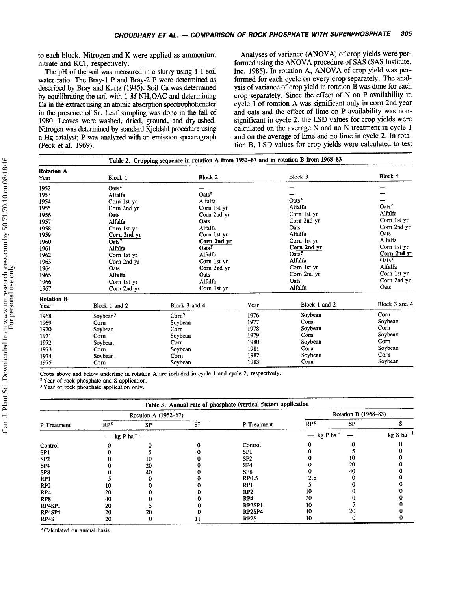to each block. Nitrogen and K were applied as ammonium nitrate and KCl, respectively.

The pH of the soil was measured in a slurry using 1:1 soil water ratio. The Bray-l P and Bray-2 P were determined as described by Bray and Kurtz (1945). Soil Ca was determined by equilibrating the soil with 1  $M$  NH<sub>4</sub>OAC and determining Ca in the exfiact using an atomic absorption spectrophotometer in the presence of Sr. Leaf sampling was done in the fall of 1980. Leaves were washed, dried, ground, and dry-ashed. Nitrogen was determined by sandard Kjeldahl procedure using a Hg catalyst; P was analyzed with an emission spectrograph (Peck et al. 1969).

Analyses of variance (ANOVA) of crop yields were performed using the ANOVA procedure of SAS (SAS Institute, Inc. 1985). In rotation A, ANOVA of crop yield was performed for each cycle on every crop separately. The analysis of variance of crop yield in rotation B was done for each crop separately. Since the effect of N on P availability in cycle 1 of rotation A was significant only in corn 2nd yeat and oats and the effect of lime on P availability was nonsignificant in cycle 2, the LSD values for crop yields were calculated on the average N and no N treatment in cycle <sup>1</sup> and on the average of lime and no lime in cycle 2. In rotation B, LSD values for crop yields were calculated to test

|                           |                              | Table 2. Cropping sequence in rotation A from 1952-67 and in rotation B from 1968-83 |      |                                         |                              |
|---------------------------|------------------------------|--------------------------------------------------------------------------------------|------|-----------------------------------------|------------------------------|
| <b>Rotation A</b><br>Year | Block 1                      | Block 2                                                                              |      | Block 3                                 | Block 4                      |
| 1952                      | $\text{Oats}^{\mathbf{z}}$   |                                                                                      |      |                                         |                              |
| 1953                      | Alfalfa                      | $\text{Oats}^{\mathbf{z}}$                                                           |      |                                         |                              |
| 1954                      | Corn 1st yr                  | Alfalfa                                                                              |      | $\text{Oats}^{\mathbf{z}}$              |                              |
| 1955                      | Corn 2nd yr                  | Corn 1st yr                                                                          |      | Alfalfa                                 | $\text{Oats}^{\mathbf{z}}$   |
| 1956                      | Oats                         | Corn 2nd yr                                                                          |      | Corn 1st yr                             | Alfalfa                      |
| 1957                      | Alfalfa                      | Oats                                                                                 |      | Corn 2nd yr                             | Corn 1st yr                  |
| 1958                      | Corn 1st yr                  | Alfalfa                                                                              |      | Oats                                    | Corn 2nd yr                  |
| 1959                      | Corn 2nd yr                  | Corn 1st yr                                                                          |      | Alfalfa                                 | Oats                         |
| 1960                      | $\overline{\mathrm{Oats}}^y$ | Corn 2nd yr                                                                          |      | Corn 1st yr                             | Alfalfa                      |
| 1961                      | Alfalfa                      | $\overline{\mathrm{Oats}}^{\mathrm{y}}$                                              |      | Corn 2nd yr                             | Corn 1st yr                  |
| 1962                      | Corn 1st yr                  | Alfalfa                                                                              |      | $\overline{\mathrm{Oats}}^{\mathrm{y}}$ | Corn 2nd yr                  |
| 1963                      | Corn 2nd yr                  | Corn 1st yr                                                                          |      | Alfalfa                                 | $\overline{\mathrm{Oats}}^y$ |
| 1964                      | Oats                         | Corn 2nd yr                                                                          |      | Corn 1st yr                             | Alfalfa                      |
| 1965                      | Alfalfa                      | Oats                                                                                 |      | Corn 2nd yr                             | Corn 1st yr                  |
| 1966                      | Corn 1st yr                  | Alfalfa                                                                              |      | <b>Oats</b>                             | Corn 2nd yr                  |
| 1967                      | Corn 2nd yr                  | Corn 1st yr                                                                          |      | Alfalfa                                 | Oats                         |
| <b>Rotation B</b>         |                              |                                                                                      |      |                                         |                              |
| Year                      | Block 1 and 2                | Block 3 and 4                                                                        | Year | Block 1 and 2                           | Block 3 and 4                |
| 1968                      | Soybean <sup>y</sup>         | Corn <sup>y</sup>                                                                    | 1976 | Soybean                                 | Corn                         |
| 1969                      | Corn                         | Soybean                                                                              | 1977 | Corn                                    | Soybean                      |
| 1970                      | Soybean                      | Corn                                                                                 | 1978 | Soybean                                 | Corn                         |
| 1971                      | Corn                         | Soybean                                                                              | 1979 | Corn                                    | Soybean                      |
| 1972                      | Soybean                      | Corn                                                                                 | 1980 | Soybean                                 | Corn                         |
| 1973                      | Corn                         | Soybean                                                                              | 1981 | Corn                                    | Soybean                      |
| 1974                      | Soybean                      | Corn                                                                                 | 1982 | Soybean                                 | Corn                         |
| 1975                      | Corn                         | Soybean                                                                              | 1983 | Corn                                    | Sovbean                      |

Crops above and below underline in rotation A are included in cycle I and cycle 2, respectively.

<sup>2</sup>Year of rock phosphate and S application.

<sup>y</sup> Year of rock phosphate application only.

|                 | Table 3. Annual rate of phosphate (vertical factor) application |                      |       |                 |                         |           |                |
|-----------------|-----------------------------------------------------------------|----------------------|-------|-----------------|-------------------------|-----------|----------------|
|                 |                                                                 | Rotation A (1952-67) |       |                 | Rotation B (1968-83)    |           |                |
| P Treatment     | $RP^z$                                                          | <b>SP</b>            | $S^z$ | P Treatment     | $RP^z$                  | <b>SP</b> |                |
|                 | kg P ha $^{-1}$<br>$\hspace{0.1mm}-\hspace{0.1mm}$              |                      |       |                 | - kg P ha <sup>-1</sup> |           | $kg S ha^{-1}$ |
| Control         |                                                                 |                      |       | Control         |                         |           |                |
| SP <sub>1</sub> |                                                                 |                      |       | SP <sub>1</sub> |                         |           |                |
| SP <sub>2</sub> |                                                                 | ιυ                   |       | SP <sub>2</sub> |                         | 10        |                |
| SP <sub>4</sub> |                                                                 | 20                   |       | SP <sub>4</sub> |                         | 20        |                |
| SP <sub>8</sub> |                                                                 | 40                   |       | SP <sub>8</sub> |                         | 40        |                |
| RP <sub>1</sub> |                                                                 |                      |       | RP0.5           | 2.5                     |           |                |
| RP <sub>2</sub> |                                                                 |                      |       | RP1             |                         |           |                |
| RP <sub>4</sub> | 20                                                              |                      |       | RP2             | lО                      |           |                |
| RP8             | 40                                                              |                      |       | RP4             | 20                      |           |                |
| RP4SP1          | 20                                                              |                      |       | RP2SP1          | 10                      |           |                |
| RP4SP4          | 20                                                              | 20                   |       | RP2SP4          | 10                      | 20        |                |
| RP4S            | 20                                                              |                      |       | RP2S            | 10                      |           |                |

<sup>z</sup> Calculated on annual basis.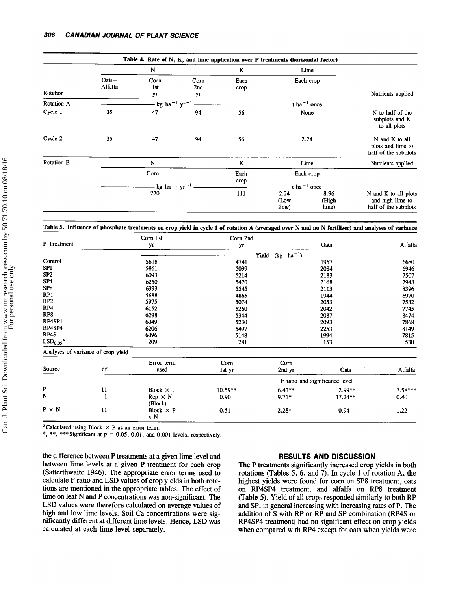|                   |                                        |                   |                               |              | Table 4. Rate of N, K, and lime application over P treatments (horizontal factor) |                                                   |                                                                  |
|-------------------|----------------------------------------|-------------------|-------------------------------|--------------|-----------------------------------------------------------------------------------|---------------------------------------------------|------------------------------------------------------------------|
|                   |                                        | N                 |                               | K            |                                                                                   | Lime                                              |                                                                  |
| Rotation          | $Oats +$<br>Alfalfa                    | Corn<br>1st<br>уr | Corn<br>2 <sub>nd</sub><br>уr | Each<br>crop |                                                                                   | Each crop                                         | Nutrients applied                                                |
| <b>Rotation A</b> | - kg ha <sup>-1</sup> yr <sup>-1</sup> |                   |                               |              |                                                                                   | t ha <sup>-1</sup> once                           |                                                                  |
| Cycle 1           | 35                                     | 47                | 94                            | 56           |                                                                                   | None                                              | N to half of the<br>subplots and K<br>to all plots               |
| Cycle 2           | 35                                     | 47                | 94                            | 56           |                                                                                   | 2.24                                              | N and K to all<br>plots and lime to<br>half of the subplots      |
| <b>Rotation B</b> |                                        | $\mathbf N$       |                               | K            |                                                                                   | Lime                                              | Nutrients applied                                                |
|                   | Corn<br>- kg ha $^{-1}$ yr $^{-1}$     |                   |                               | Each<br>crop |                                                                                   | Each crop<br>t ha <sup><math>-1</math></sup> once |                                                                  |
|                   |                                        | 270               |                               | 111          | 2.24<br>(Low<br>lime)                                                             | 8.96<br>(High<br>lime)                            | N and K to all plots<br>and high lime to<br>half of the subplots |

Table 5. Influence of phosphate treatments on crop yield in cycle I of rotation A (averaged over N and no N fertilizer) and analyses of variance

|                                  |                                    | Corn 1st                | Corn 2nd  |                  |                                |           |
|----------------------------------|------------------------------------|-------------------------|-----------|------------------|--------------------------------|-----------|
| P Treatment                      |                                    | yr                      | yг        |                  | Oats                           | Alfalfa   |
|                                  |                                    |                         | Yield     | $ha^{-1}$<br>(kg |                                |           |
| Control                          |                                    | 5618                    | 4741      |                  | 1957                           | 6680      |
| SP <sub>1</sub>                  |                                    | 5861                    | 5039      |                  | 2084                           | 6946      |
| SP <sub>2</sub>                  |                                    | 6093                    | 5214      |                  | 2183                           | 7507      |
| SP <sub>4</sub>                  |                                    | 6250                    | 5470      |                  | 2168                           | 7948      |
| SP8                              |                                    | 6393                    | 5545      |                  | 2113                           | 8396      |
| RP1                              |                                    | 5688                    | 4865      |                  | 1944                           | 6970      |
| RP <sub>2</sub>                  |                                    | 5975                    | 5074      |                  | 2053                           | 7532      |
| RP4                              |                                    | 6152                    | 5260      |                  | 2042                           | 7745      |
| RP8                              |                                    | 6298                    | 5344      |                  | 2087                           | 8474      |
| RP4SP1                           |                                    | 6049                    | 5230      |                  | 2093                           | 7868      |
| RP4SP4                           |                                    | 6206                    | 5497      |                  | 2253                           | 8149      |
| RP4S                             |                                    | 6096                    | 5148      |                  | 1994                           | 7815      |
| LSD <sub>0.05</sub> <sup>z</sup> |                                    | 209                     | 281       |                  | 153                            | 530       |
|                                  | Analyses of variance of crop yield |                         |           |                  |                                |           |
|                                  |                                    | Error term              | Corn      | Corn             |                                |           |
| Source                           | df                                 | used                    | lst yr    | 2nd yr           | Oats                           | Alfalfa   |
|                                  |                                    |                         |           |                  | F ratio and significance level |           |
| P                                | 11                                 | Block $\times$ P        | $10.59**$ | $6.41**$         | $2.99**$                       | $7.58***$ |
| N                                | $\mathbf{1}$                       | $Rep \times N$          | 0.90      | $9.71*$          | 17.24**                        | 0.40      |
|                                  |                                    | (Block)                 |           |                  |                                |           |
| $P \times N$                     | 11                                 | Block $\times$ P<br>x N | 0.51      | $2.28*$          | 0.94                           | 1.22      |

<sup>z</sup>Calculated using Block  $\times$  P as an error term.<br>\*, \*\*, \*\*\* Significant at  $p = 0.05, 0.01$ , and 0.001 levels, respectively.

the difference between P treatments at a given lime level and between lime levels at a given P treatment for each crop (Satterthwaite 1946). The appropriate error terms used to calculate F ratio and LSD values of crop yields in both rotations are mentioned in the appropriate tables. The effect of lime on leaf N and P concentrations was non-significant. The LSD values were therefore calculated on average values of high and low lime levels. Soil Ca concentrations were significantly different at different lime levels. Hence, LSD was calculated at each lime level separately.

## RESULTS AND DISCUSSION

The P treatments significantly increased crop yields in both rotations (Tables 5, 6, and 7). In cycle 1 of rotation A, the highest yields were found for corn on SP8 treatment, oats on RP4SP4 treatrnent, and alfalfa on RP8 treatrnent (Table 5). Yield of all crops responded similarly to both RP and SP, in general increasing with increasing rates of P. The addition of S with RP or RP and SP combination (RP4S or RP4SP4 treatrnent) had no significant effect on crop yields when compared with RP4 except for oats when yields were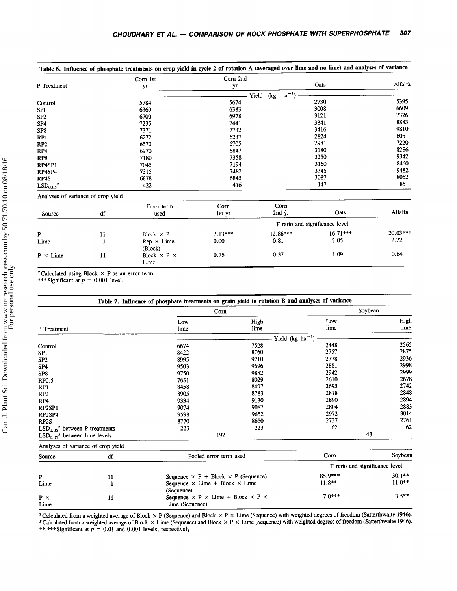0.81 0.37 2.05 1.09

|                                  |                                    | Corn 1st          | Corn 2nd  |                                         |                                |            |
|----------------------------------|------------------------------------|-------------------|-----------|-----------------------------------------|--------------------------------|------------|
| P Treatment                      |                                    | yr                | уг        |                                         | Oats                           | Alfalfa    |
|                                  |                                    |                   |           | $-1$<br>Yield<br>(kg<br>ha <sup>-</sup> |                                |            |
| Control                          |                                    | 5784              | 5674      |                                         | 2730                           | 5395       |
| SPI                              |                                    | 6369              | 6383      |                                         | 3008                           | 6609       |
| SP <sub>2</sub>                  |                                    | 6700              | 6978      |                                         | 3121                           | 7326       |
| SP <sub>4</sub>                  |                                    | 7235              | 7441      |                                         | 3341                           | 8883       |
| SP <sub>8</sub>                  |                                    | 7371              | 7732      |                                         | 3416                           | 9810       |
| RP1                              |                                    | 6272              | 6237      |                                         | 2824                           | 6051       |
| RP2                              |                                    | 6570              | 6705      |                                         | 2981                           | 7220       |
| RP4                              |                                    | 6970              | 6847      |                                         | 3180                           | 8286       |
| RP <sub>8</sub>                  |                                    | 7180              | 7358      |                                         | 3250                           | 9342       |
| RP4SP1                           |                                    | 7045              | 7194      |                                         | 3160                           | 8460       |
| RP4SP4                           |                                    | 7315              | 7482      |                                         | 3345                           | 9482       |
| RP4S                             |                                    | 6878              | 6845      |                                         | 3087                           | 8052       |
| LSD <sub>0.05</sub> <sup>z</sup> |                                    | 422               | 416       |                                         | 147                            | 851        |
|                                  | Analyses of variance of crop yield |                   |           |                                         |                                |            |
|                                  |                                    | Error term        | Corn      | Corn                                    |                                |            |
| Source                           | df                                 | used              | 1st yr    | $2nd \nvert \nvert$                     | Oats                           | Alfalfa    |
|                                  |                                    |                   |           |                                         | F ratio and significance level |            |
| P                                | 11                                 | Block $\times$ P  | $7.13***$ | $12.86***$                              | $16.71***$                     | $20.03***$ |
| Lime                             |                                    | $Rep \times Lime$ | 0.00      | 0.81                                    | 2.05                           | 2.22       |

0.00 0.75

 $P \times$  Lime 11 Block  $\times$  P  $\times$  0.75 0.37 1.09 0.64

<sup>z</sup>Calculated using Block  $\times$  P as an error term.

1l

Rep x Lime (Block) Block  $\times$  P  $\times$ Lime

\*\*\* Significant at  $p = 0.001$  level.

|                                            |                                    | Table 7. Influence of phosphate treatments on grain yield in rotation B and analyses of variance |      |                              |                                |  |
|--------------------------------------------|------------------------------------|--------------------------------------------------------------------------------------------------|------|------------------------------|--------------------------------|--|
|                                            |                                    |                                                                                                  | Corn | Soybean                      |                                |  |
|                                            |                                    | Low                                                                                              | High | Low                          | High                           |  |
| P Treatment                                |                                    | lime                                                                                             | lime | lime                         | lime                           |  |
|                                            |                                    |                                                                                                  |      | Yield (kg ha <sup>-1</sup> ) |                                |  |
| Control                                    |                                    | 6674                                                                                             | 7528 | 2448                         | 2565                           |  |
| SP <sub>1</sub>                            |                                    | 8422                                                                                             | 8760 | 2757                         | 2875                           |  |
| SP <sub>2</sub>                            |                                    | 8995                                                                                             | 9210 | 2778                         | 2936                           |  |
| SP <sub>4</sub>                            |                                    | 9503                                                                                             | 9696 | 2881                         | 2998                           |  |
| SP <sub>8</sub>                            |                                    | 9750                                                                                             | 9882 | 2942                         | 2999                           |  |
| RP0.5                                      |                                    | 7631                                                                                             | 8029 | 2610                         | 2678                           |  |
| RP1                                        |                                    | 8458                                                                                             | 8497 | 2695                         | 2742                           |  |
| RP2                                        |                                    | 8905                                                                                             | 8783 | 2818                         | 2848                           |  |
| RP4                                        |                                    | 9334                                                                                             | 9130 | 2890                         | 2894                           |  |
| RP2SP1                                     |                                    | 9074                                                                                             | 9087 | 2804                         | 2883                           |  |
| RP2SP4                                     |                                    | 9598                                                                                             | 9652 | 2972                         | 3014                           |  |
| RP2S                                       |                                    | 8770                                                                                             | 8650 | 2737                         | 2761                           |  |
| $LSD0.05z$ between P treatments            |                                    | 223                                                                                              | 223  | 62                           | 62                             |  |
| $LSD0.05$ <sup>y</sup> between lime levels |                                    |                                                                                                  | 192  |                              | 43                             |  |
|                                            | Analyses of variance of crop yield |                                                                                                  |      |                              |                                |  |
| Source                                     | df                                 | Pooled error term used                                                                           |      | Corn                         | Soybean                        |  |
|                                            |                                    |                                                                                                  |      |                              | F ratio and significance level |  |
| P                                          | 11                                 | Sequence $\times$ P + Block $\times$ P (Sequence)                                                |      | 85.9***                      | $30.1**$                       |  |
| Lime                                       | 1                                  | Sequence $\times$ Lime + Block $\times$ Lime                                                     |      | $11.8**$                     | $11.0**$                       |  |
|                                            |                                    | (Sequence)                                                                                       |      |                              |                                |  |
| $P \times$                                 | 11                                 | Sequence $\times$ P $\times$ Lime + Block $\times$ P $\times$                                    |      | $7.0***$                     | $3.5***$                       |  |
| Lime                                       |                                    | Lime (Sequence)                                                                                  |      |                              |                                |  |

<sup>z</sup>Calculated from a weighted average of Block  $\times$  P (Sequence) and Block  $\times$  P  $\times$  Lime (Sequence) with weighted degrees of freedom (Satterthwaite 1946). V Calculated from a weighted average of Block  $\times$  Lime (Sequence) and Block  $\times$  P  $\times$  Lime (Sequence) with weighted degress of freedom (Satterthwaite 1946). \*\*,\*\*\* Significant at  $p = 0.01$  and 0.001 levels, respectively.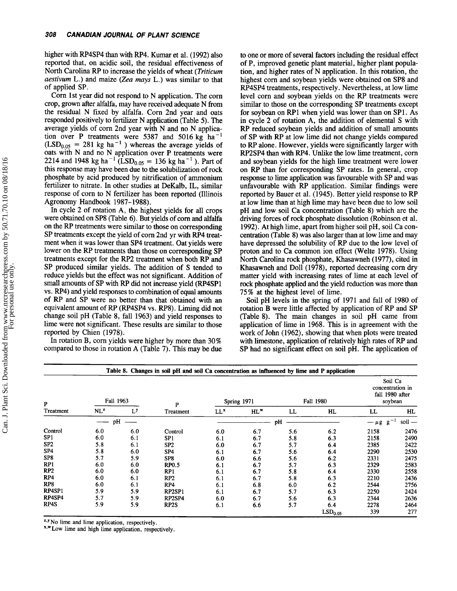higher with RP4SP4 than with RP4. Kumar et al. (1992) also reported that, on acidic soil, the residual effectiveness of North Carolina RP to increase the yields of wheat (Triticum *aestivum* L.) and maize (Zea mays L.) was similar to that of applied SP.

Corn lst year did not respond to N application. The corn crop, grown after alfalfa, may have received adequate N from the residual N fixed by alfalfa. Corn 2nd year and oats responded positively to fertilizer N application (Table 5). The average yields of corn 2nd year with N and no N application over P treatments were 5387 and 5016 kg ha<sup>-1</sup>  $(LSD<sub>0.05</sub> = 281$  kg ha<sup>-1</sup>) whereas the average yields of oats with N and no N application over P treatments were 2214 and 1948 kg ha<sup>-1</sup> (LSD<sub>0.05</sub> = 136 kg ha<sup>-1</sup>). Part of this response may have been due to the solubilization of rock phosphate by acid produced by nitrification of ammonium fertilizer to nitrate. In other studies at DeKalb, IL, similar response of corn to N fertilizer has been reported (Illinois Agronomy Handbook 1987-1988).

In cycle 2 of rotation A, the highest yields for all crops were obtained on SP8 (Table 6). But yields of corn and alfalfa on the RP treatrnents were similar to those on corresponding SP treatments except the yield of corn 2nd yr with RP4 treatment when it was lower than SP4 treatment. Oat yields were lower on the RP treatments than those on corresponding SP treatments except for the RP2 treatment when both RP and SP produced similar yields. The addition of S tended to reduce yields but the effect was not significant. Addition of small amounts of SP with RP did not increase yield (RP4SPl vs. RP4) and yield responses to combination of equal amounts of RP and SP were no better than that obtained with an equivalent amount of RP (RP4SP4 vs. RP8). Liming did not change soil pH (Table 8, fall 1963) and yield responses to lime were not significant. These results are similar to those reported by Chien (1978).

In rotation B, corn yields were higher by more than 30% compared to those in rotation A (Table 7). This may be due

to one or more of several factors including the residual effect of P, improved genetic plant material, higher plant population, and higher rates of N application. In this rotation, the highest corn and soybean yields were obtained on SP8 and RP4SP4 treatrnents, respectively. Nevertheless, at low lime level corn and soybean yields on the RP treatrnents were similar to those on the corresponding SP treatments except for soybean on RPl when yield was lower than on SPI . As in cycle 2 of rotation A, the addition of elemental S with RP reduced soybean yields and addition of small amounts of SP with RP at low lime did not change yields compared to RP alone. However, yields were significantly larger with RP2SP4 than with RP4. Unlike the low lime treatment, corn and soybean yields for the high lime treatment were lower on RP than for corresponding SP rates. In general, crop response to lime application was favourable with SP and was unfavourable with RP application. Similar findings were reported by Bauer et al. (1945). Better yield response to RP at low lime than at high lime may have been due to low soil pH and low soil Ca concentration (Table 8) which are the driving forces of rock phosphate dissolution (Robinson et al. 1992). At high lime, apart from higher soil pH, soil Ca concentration (Table 8) was also larger than at low lime and may have depressed the solubility of RP due to the low level of proton and to Ca common ion effect (Welte 1978). Using North Carolina rock phosphate, Khasawneh (1977), cited in Khasawneh and Doll (1978), reported decreasing corn dry matter yield with increasing rates of lime at each level of rock phosphate applied and the yield reduction was more than 75% at the highest level of lime.

Soil pH levels in the spring of 1971 and fall of 1980 of rotation B were little affected by application of RP and SP (Table 8). The main changes in soil pH came from application of lime in 1968. This is in agreement with the work of John (1962), showing that when plots were treated with limestone, application of relatively high rates of RP and SP had no significant effect on soil pH. The application of

|                 |                 |       | Table 8. Changes in soil pH and soil Ca concentration as influenced by lime and P application |                                 |        |     |                     |                                                           |        |
|-----------------|-----------------|-------|-----------------------------------------------------------------------------------------------|---------------------------------|--------|-----|---------------------|-----------------------------------------------------------|--------|
| P               | Fall 1963       |       | P                                                                                             | <b>Fall 1980</b><br>Spring 1971 |        |     |                     | Soil Ca<br>concentration in<br>fall 1980 after<br>soybean |        |
| Treatment       | NL <sup>z</sup> | $L^y$ | Treatment                                                                                     | $LL^x$                          | $HL^w$ | LL  | HL                  | LL                                                        | HL     |
|                 | pH              |       |                                                                                               |                                 |        | pH  |                     | $g^{-1}$<br>$-\mu$ g                                      | soil — |
| Control         | 6.0             | 6.0   | Control                                                                                       | 6.0                             | 6.7    | 5.6 | 6.2                 | 2158                                                      | 2476   |
| SP1             | 6.0             | 6.1   | SP <sub>1</sub>                                                                               | 6.1                             | 6.7    | 5.8 | 6.3                 | 2158                                                      | 2490   |
| SP <sub>2</sub> | 5.8             | 6.1   | SP <sub>2</sub>                                                                               | 6.0                             | 6.7    | 5.7 | 6.4                 | 2385                                                      | 2422   |
| SP4             | 5.8             | 6.0   | SP <sub>4</sub>                                                                               | 6.1                             | 6.7    | 5.6 | 6.4                 | 2290                                                      | 2530   |
| SP8             | 5.7             | 5.9   | SP8                                                                                           | 6.0                             | 6.6    | 5.6 | 6.2                 | 2331                                                      | 2475   |
| RP1             | 6.0             | 6.0   | <b>RP0.5</b>                                                                                  | 6.1                             | 6.7    | 5.7 | 6.3                 | 2329                                                      | 2583   |
| RP <sub>2</sub> | 6.0             | 6.0   | RP1                                                                                           | 6.1                             | 6.7    | 5.8 | 6.4                 | 2330                                                      | 2558   |
| RP4             | 6.0             | 6.1   | RP <sub>2</sub>                                                                               | 6.1                             | 6.7    | 5.8 | 6.3                 | 2210                                                      | 2436   |
| RP8             | 6.0             | 6.1   | RP4                                                                                           | 6.1                             | 6.8    | 6.0 | 6.2                 | 2544                                                      | 2756   |
| RP4SP1          | 5.9             | 5.9   | RP2SP1                                                                                        | 6.1                             | 6.7    | 5.7 | 6.3                 | 2250                                                      | 2424   |
| RP4SP4          | 5.7             | 5.9   | RP2SP4                                                                                        | 6.0                             | 6.7    | 5.6 | 6.3                 | 2344                                                      | 2636   |
| RP4S            | 5.9             | 5.9   | RP2S                                                                                          | 6.1                             | 6.6    | 5.7 | 6.4                 | 2278                                                      | 2464   |
|                 |                 |       |                                                                                               |                                 |        |     | LSD <sub>0.05</sub> | 339                                                       | 277    |

 $z$ <sup>y</sup>. No lime and lime application, respectively.  $x \cdot w$  Low lime and high lime application, respectively.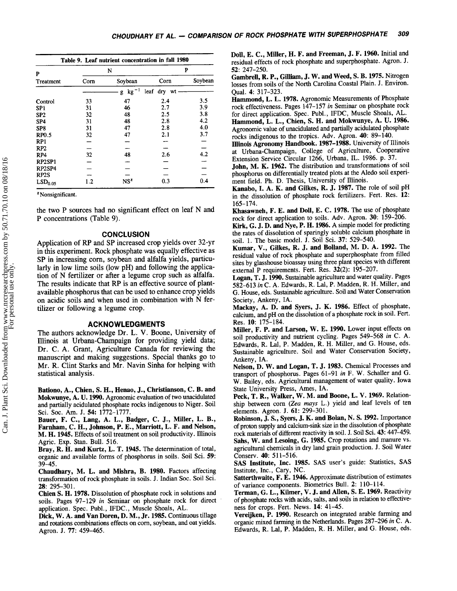|                     |      | Table 9. Leaf nutrient concentration in fall 1980 |             |         |
|---------------------|------|---------------------------------------------------|-------------|---------|
| P                   |      | N                                                 |             | P       |
| Treatment           | Corn | Soybean                                           | Corn        | Soybean |
|                     |      | $kg-1$<br>g                                       | leaf dry wt |         |
| Control             | 33   | 47                                                | 2.4         | 3.5     |
| SP <sub>1</sub>     | 31   | 46                                                | 2.7         | 3.9     |
| SP <sub>2</sub>     | 32   | 48                                                | 2.5         | 3.8     |
| SP <sub>4</sub>     | 31   | 48                                                | 2.8         | 4.2     |
| SP <sub>8</sub>     | 31   | 47                                                | 2.8         | 4.0     |
| <b>RP0.5</b>        | 32   | 47                                                | 2.1         | 3.7     |
| RP1                 |      |                                                   |             |         |
| RP2                 |      |                                                   |             |         |
| RP4                 | 32   | 48                                                | 2.6         | 4.2     |
| RP2SP1              |      |                                                   |             |         |
| RP2SP4              |      |                                                   |             |         |
| RP2S                |      |                                                   |             |         |
| $\text{LSD}_{0.05}$ | 1.2  | NS <sup>z</sup>                                   | 0.3         | 0.4     |

<sup>z</sup> Nonsignificant.

the two P sources had no significant effect on leaf N and P concentrations (Table 9).

#### **CONCLUSION**

Application of RP and SP increased crop yields over 32-yr in this experiment. Rock phosphate was equally effective as SP in increasing corn, soybean and alfalfa yields, particularly in low lime soils (low pH) and following the application of N fertilizer or after a legume crop such as alfalfa. The results indicate that RP is an effective source of plantavailable phosphorus that can be used to enhance crop yields on acidic soils and when used in combination with N fertilizer or following a legume crop.

#### ACKNOWLEDGMENTS

The authors acknowledge Dr. L. V. Boone, University of Illinois at Urbana-Champaign for providing yield data; Dr. C. A. Grant, Agriculture Canada for reviewing the manuscript and making suggestions. Special thanks go to Mr. R. Clint Starks and Mr. Navin Sinha for helping with statistical analysis.

Bationo, A., Chien, S. H., Henao, J., Christianson, C. B. and Mokwunye, A. U. 1990. Agronomic evaluation of two unacidulated and partially acidulated phosphate rocks indigenous to Niger. Soil Sci. Soc. Am. J. 54: 1772-1777

Bauer, F. C., Lang, A. L., Badger, C. J., Miller, L. B., Farnham, C. H., Johnson, P. E., Marriott, L. F. and Nelson, M. H. 1945. Effects of soil treatment on soil productivity. Illinois Agric. Exp. Stan. Bull. 516.

Bray, R. H. and Kurtz, L. T. 1945. The determination of total, organic and available forms of phosphorus in soils. Soil Sci. 59: 39-45.

Chaudhary, M. L. and Mishra, B. 1980. Factors affecting transformation of rock phosphate in soils. J. Indian Soc. Soil Sci. 2E:295-301.

Chien S. H. 1978. Dissolution of phosphate rock in solutions and soils. Pages 97-129 in Seminar on phosphate rock for direct application. Spec. Publ., IFDC., Muscle Shoals, AL.

Dick, W. A. and Van Doren, D. M., Jr. 1985. Continuous tillage and rotations combinations effects on corn, soybean, and oat yields. Agron. J. 77: 459-465.

Doll, E. C., Miller, H. F. and Freeman, J. F. 1960. Initial and residual effects of rock phosphate and superphosphate. Agron. J. 52:247-250.

Gambrell, R. P., Gilliam, J. W. and Weed, S. B. 1975. Nitrogen losses from soils of the North Carolina Coastal Plain. J. Environ. Qual.4: 317-323.

Hammond, L. L. 1978. Agronomic Measurements of Phosphate rock effectiveness. Pages 147-157 in Seminar on phosphate rock for direct application. Spec. Publ., IFDC, Muscle Shoals, AL. Hammond, L. L., Chien, S. H. and Mokwunye, A. U. 1986. Agronomic value of unacidulated and partially acidulated phosphate rocks indigenous to the tropics. Adv. Agron. 40: 89-140.

Illinois Agronomy Handbook. 1987-1988. University of Illinois at Urbana-Champaign, College of Agriculture, Cooperative Extension Service Circular 1266, Urbana, IL. 1986. p. 37.

John, M. K. 1962. The distribution and transformations of soil phosphorus on differentially treated plots at the Aledo soil experiment field. Ph. D. Thesis, University of Illinois.

Kanabo, I. A. K. and Gilkes, R. J. f987. The role of soil pH in the dissolution of phosphate rock fertilizers. Fert. Res. 12: 165-174.

Khasawneh, F. E. and Doll, E. C. 1978. The use of phosphate rock for direct application to soils. Adv. Agron. 30: 159-206.

Kirk, G. J. D. and Nye, P. H. 1986. A simple model for predicting the rates of dissolution of sparingly soluble calcium phosphate in soil. 1. The basic model. J. Soil Sci. 37: 529-540.

Kumar, V., Gilkes, R. J. and Bolland, M. D. A. 1992. The residual value of rock phosphate and superphosphate from filled sites by glasshouse bioassay using three plant species with different external P requirements. Fert. Res. 32(2): 195-207.

Logan, T. J. 1990. Sustainable agriculture and water quality. Pages 582-613 in C. A. Edwards, R. Lal, P. Madden, R. H. Miller, and G. House, eds. Sustainable agriculture. Soil and Water Conservation Society, Ankeny, IA.

Mackay, A. D. and Syers, J. K. 1986. Effect of phosphate, calcium, and pH on the dissolution of a phosphate rock in soil. Fert. Res. 10: 175-184.

Miller, F. P. and Larson, W. E. 1990. Lower input effects on soil productivity and nutrient cycling. Pages 549-568 in C. A. Edwards, R. Lal, P. Madden, R. H. Miller, and G. House, eds. Sustainable agriculture. Soil and Water Conservation Society, Ankeny, IA.

Nelson, D. W. and Logan, T. J. 1983. Chemical Processes and transport of phosphorus. Pages 6l-91 in F. W. Schaller and G. W. Bailey, eds. Agricultural management of water quality. Iowa State University Press, Ames, IA.

Peck, T. R., Walker, W. M. and Boone, L. V. 1969. Relationship between corn (Zea mays L.) yield and leaf levels of ten elements. Agron. J. 6l:299-301.

Robinson, J. S., Syers, J. K. and Bolan, N. S. 1992. Importance of proon supply and calcium-sink size in the dissolution of phosphate rock materials of different reactivity in soil. J. Soil Sci. 43: 447-459. Sahs, W. and Lesoing, G. 1985. Crop rotations and manure vs. agricultural chemicals in dry land grain production. J. Soil Water Conserv. 40: 511-516.

SAS Institute, Inc. 1985. SAS user's guide: Statistics, SAS Institute, Inc., Cary, NC.

Satterthwaite, F. E. 1946. Approximate distribution of estimates of variance components. Biometrics Bull. 2: 110-114.

Terman, G. L., Kilmer, V. J. and Allen, S. E. 1969. Reactivity of phosphate rocks with acids, salts, and soils in relation to effectiveness for crops. Fert. News. 14: 41-45.

Vereijken, P. 1990. Research on integrated arable farming and organic mixed farming in the Netherlands. Pages 287-296 in C. A. Edwards, R. Lal, P. Madden, R. H. Miller, and G. House, eds.